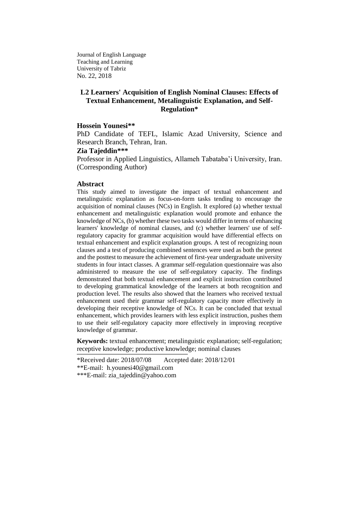Journal of English Language Teaching and Learning University of Tabriz No. 22, 2018

## **L2 Learners' Acquisition of English Nominal Clauses: Effects of Textual Enhancement, Metalinguistic Explanation, and Self-Regulation\***

#### **Hossein Younesi\*\***

PhD Candidate of TEFL, Islamic Azad University, Science and Research Branch, Tehran, Iran.

### **Zia Tajeddin\*\*\***

Professor in Applied Linguistics, Allameh Tabataba'i University, Iran. (Corresponding Author)

### **Abstract**

This study aimed to investigate the impact of textual enhancement and metalinguistic explanation as focus-on-form tasks tending to encourage the acquisition of nominal clauses (NCs) in English. It explored (a) whether textual enhancement and metalinguistic explanation would promote and enhance the knowledge of NCs, (b) whether these two tasks would differ in terms of enhancing learners' knowledge of nominal clauses, and (c) whether learners' use of selfregulatory capacity for grammar acquisition would have differential effects on textual enhancement and explicit explanation groups. A test of recognizing noun clauses and a test of producing combined sentences were used as both the pretest and the posttest to measure the achievement of first-year undergraduate university students in four intact classes. A grammar self-regulation questionnaire was also administered to measure the use of self-regulatory capacity. The findings demonstrated that both textual enhancement and explicit instruction contributed to developing grammatical knowledge of the learners at both recognition and production level. The results also showed that the learners who received textual enhancement used their grammar self-regulatory capacity more effectively in developing their receptive knowledge of NCs. It can be concluded that textual enhancement, which provides learners with less explicit instruction, pushes them to use their self-regulatory capacity more effectively in improving receptive knowledge of grammar.

**Keywords:** textual enhancement; metalinguistic explanation; self-regulation; receptive knowledge; productive knowledge; nominal clauses

\*Received date: 2018/07/08 Accepted date: 2018/12/01 \*\*E-mail: [h.younesi40@gmail.com](mailto:%20h.younesi40@gmail.com) \*\*\*E-mail: [zia\\_tajeddin@yahoo.com](mailto:zia_tajeddin@yahoo.com)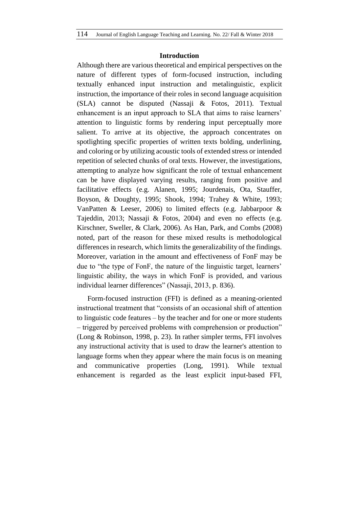### **Introduction**

Although there are various theoretical and empirical perspectives on the nature of different types of form-focused instruction, including textually enhanced input instruction and metalinguistic, explicit instruction, the importance of their roles in second language acquisition (SLA) cannot be disputed (Nassaji & Fotos, 2011). Textual enhancement is an input approach to SLA that aims to raise learners' attention to linguistic forms by rendering input perceptually more salient. To arrive at its objective, the approach concentrates on spotlighting specific properties of written texts bolding, underlining, and coloring or by utilizing acoustic tools of extended stress or intended repetition of selected chunks of oral texts. However, the investigations, attempting to analyze how significant the role of textual enhancement can be have displayed varying results, ranging from positive and facilitative effects (e.g. Alanen, 1995; Jourdenais, Ota, Stauffer, Boyson, & Doughty, 1995; Shook, 1994; Trahey & White, 1993; VanPatten & Leeser, 2006) to limited effects (e.g. Jabbarpoor & Tajeddin, 2013; Nassaji & Fotos, 2004) and even no effects (e.g. Kirschner, Sweller, & Clark, 2006). As Han, Park, and Combs (2008) noted, part of the reason for these mixed results is methodological differences in research, which limits the generalizability of the findings. Moreover, variation in the amount and effectiveness of FonF may be due to "the type of FonF, the nature of the linguistic target, learners' linguistic ability, the ways in which FonF is provided, and various individual learner differences" (Nassaji, 2013, p. 836).

Form-focused instruction (FFI) is defined as a meaning-oriented instructional treatment that "consists of an occasional shift of attention to linguistic code features – by the teacher and for one or more students – triggered by perceived problems with comprehension or production" (Long & Robinson, 1998, p. 23). In rather simpler terms, FFI involves any instructional activity that is used to draw the learner's attention to language forms when they appear where the main focus is on meaning and communicative properties (Long, 1991). While textual enhancement is regarded as the least explicit input-based FFI,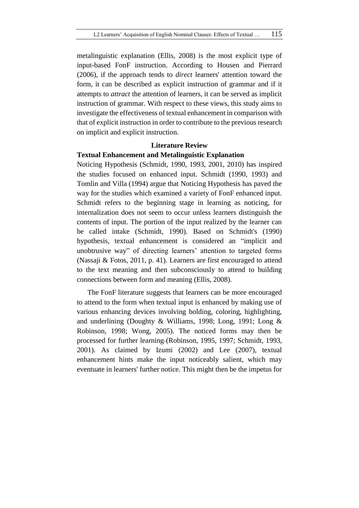metalinguistic explanation (Ellis, 2008) is the most explicit type of input-based FonF instruction. According to Housen and Pierrard (2006), if the approach tends to *direct* learners' attention toward the form, it can be described as explicit instruction of grammar and if it attempts to *attract* the attention of learners, it can be served as implicit instruction of grammar. With respect to these views, this study aims to investigate the effectiveness of textual enhancement in comparison with that of explicit instruction in order to contribute to the previous research on implicit and explicit instruction.

### **Literature Review**

### **Textual Enhancement and Metalinguistic Explanation**

Noticing Hypothesis (Schmidt, 1990, 1993, 2001, 2010) has inspired the studies focused on enhanced input. Schmidt (1990, 1993) and Tomlin and Villa (1994) argue that Noticing Hypothesis has paved the way for the studies which examined a variety of FonF enhanced input. Schmidt refers to the beginning stage in learning as noticing, for internalization does not seem to occur unless learners distinguish the contents of input. The portion of the input realized by the learner can be called intake (Schmidt, 1990). Based on Schmidt's (1990) hypothesis, textual enhancement is considered an "implicit and unobtrusive way" of directing learners' attention to targeted forms (Nassaji & Fotos, 2011, p. 41). Learners are first encouraged to attend to the text meaning and then subconsciously to attend to building connections between form and meaning (Ellis, 2008).

The FonF literature suggests that learners can be more encouraged to attend to the form when textual input is enhanced by making use of various enhancing devices involving bolding, coloring, highlighting, and underlining (Doughty & Williams, 1998; Long, 1991; Long & Robinson, 1998; Wong, 2005). The noticed forms may then be processed for further learning (Robinson, 1995, 1997; Schmidt, 1993, 2001). As claimed by Izumi (2002) and Lee (2007), textual enhancement hints make the input noticeably salient, which may eventuate in learners' further notice. This might then be the impetus for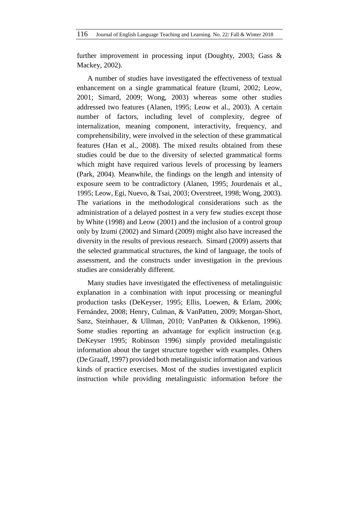further improvement in processing input (Doughty, 2003; Gass & Mackey, 2002).

A number of studies have investigated the effectiveness of textual enhancement on a single grammatical feature (Izumi, 2002; Leow, 2001; Simard, 2009; Wong, 2003) whereas some other studies addressed two features (Alanen, 1995; Leow et al., 2003). A certain number of factors, including level of complexity, degree of internalization, meaning component, interactivity, frequency, and comprehensibility, were involved in the selection of these grammatical features (Han et al., 2008). The mixed results obtained from these studies could be due to the diversity of selected grammatical forms which might have required various levels of processing by learners (Park, 2004). Meanwhile, the findings on the length and intensity of exposure seem to be contradictory (Alanen, 1995; Jourdenais et al., 1995; Leow, Egi, Nuevo, & Tsai, 2003; Overstreet, 1998; Wong, 2003). The variations in the methodological considerations such as the administration of a delayed posttest in a very few studies except those by White (1998) and Leow (2001) and the inclusion of a control group only by Izumi (2002) and Simard (2009) might also have increased the diversity in the results of previous research. Simard (2009) asserts that the selected grammatical structures, the kind of language, the tools of assessment, and the constructs under investigation in the previous studies are considerably different.

Many studies have investigated the effectiveness of metalinguistic explanation in a combination with input processing or meaningful production tasks (DeKeyser, 1995; Ellis, Loewen, & Erlam, 2006; Fernández, 2008; Henry, Culman, & VanPatten, 2009; Morgan-Short, Sanz, Steinhauer, & Ullman, 2010; VanPatten & Oikkenon, 1996). Some studies reporting an advantage for explicit instruction (e.g. DeKeyser 1995; Robinson 1996) simply provided metalinguistic information about the target structure together with examples. Others (De Graaff, 1997) provided both metalinguistic information and various kinds of practice exercises. Most of the studies investigated explicit instruction while providing metalinguistic information before the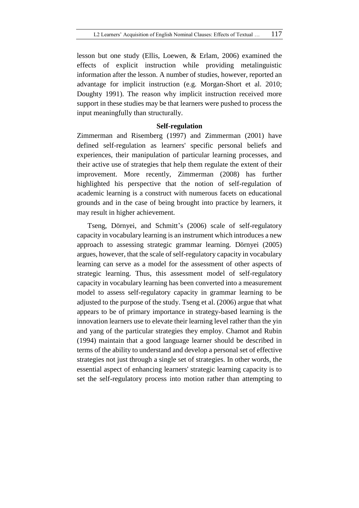lesson but one study (Ellis, Loewen, & Erlam, 2006) examined the effects of explicit instruction while providing metalinguistic information after the lesson. A number of studies, however, reported an advantage for implicit instruction (e.g. Morgan-Short et al. 2010; Doughty 1991). The reason why implicit instruction received more support in these studies may be that learners were pushed to process the input meaningfully than structurally.

### **Self-regulation**

Zimmerman and Risemberg (1997) and Zimmerman (2001) have defined self-regulation as learners' specific personal beliefs and experiences, their manipulation of particular learning processes, and their active use of strategies that help them regulate the extent of their improvement. More recently, Zimmerman (2008) has further highlighted his perspective that the notion of self-regulation of academic learning is a construct with numerous facets on educational grounds and in the case of being brought into practice by learners, it may result in higher achievement.

Tseng, Dörnyei, and Schmitt's (2006) scale of self-regulatory capacity in vocabulary learning is an instrument which introduces a new approach to assessing strategic grammar learning. Dörnyei (2005) argues, however, that the scale of self-regulatory capacity in vocabulary learning can serve as a model for the assessment of other aspects of strategic learning. Thus, this assessment model of self-regulatory capacity in vocabulary learning has been converted into a measurement model to assess self-regulatory capacity in grammar learning to be adjusted to the purpose of the study. Tseng et al. (2006) argue that what appears to be of primary importance in strategy-based learning is the innovation learners use to elevate their learning level rather than the yin and yang of the particular strategies they employ. Chamot and Rubin (1994) maintain that a good language learner should be described in terms of the ability to understand and develop a personal set of effective strategies not just through a single set of strategies. In other words, the essential aspect of enhancing learners' strategic learning capacity is to set the self-regulatory process into motion rather than attempting to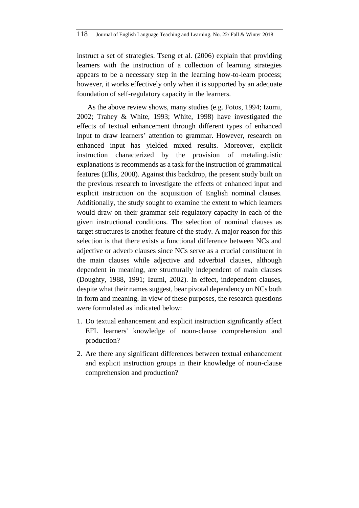instruct a set of strategies. Tseng et al. (2006) explain that providing learners with the instruction of a collection of learning strategies appears to be a necessary step in the learning how-to-learn process; however, it works effectively only when it is supported by an adequate foundation of self-regulatory capacity in the learners.

As the above review shows, many studies (e.g. Fotos, 1994; Izumi, 2002; Trahey & White, 1993; White, 1998) have investigated the effects of textual enhancement through different types of enhanced input to draw learners' attention to grammar. However, research on enhanced input has yielded mixed results. Moreover, explicit instruction characterized by the provision of metalinguistic explanations is recommends as a task for the instruction of grammatical features (Ellis, 2008). Against this backdrop, the present study built on the previous research to investigate the effects of enhanced input and explicit instruction on the acquisition of English nominal clauses. Additionally, the study sought to examine the extent to which learners would draw on their grammar self-regulatory capacity in each of the given instructional conditions. The selection of nominal clauses as target structures is another feature of the study. A major reason for this selection is that there exists a functional difference between NCs and adjective or adverb clauses since NCs serve as a crucial constituent in the main clauses while adjective and adverbial clauses, although dependent in meaning, are structurally independent of main clauses (Doughty, 1988, 1991; Izumi, 2002). In effect, independent clauses, despite what their names suggest, bear pivotal dependency on NCs both in form and meaning. In view of these purposes, the research questions were formulated as indicated below:

- 1. Do textual enhancement and explicit instruction significantly affect EFL learners' knowledge of noun-clause comprehension and production?
- 2. Are there any significant differences between textual enhancement and explicit instruction groups in their knowledge of noun-clause comprehension and production?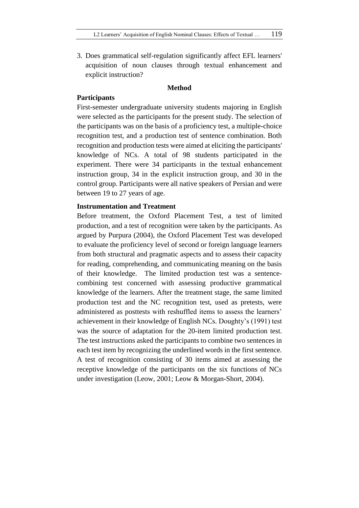3. Does grammatical self-regulation significantly affect EFL learners' acquisition of noun clauses through textual enhancement and explicit instruction?

#### **Method**

### **Participants**

First-semester undergraduate university students majoring in English were selected as the participants for the present study. The selection of the participants was on the basis of a proficiency test, a multiple-choice recognition test, and a production test of sentence combination. Both recognition and production tests were aimed at eliciting the participants' knowledge of NCs. A total of 98 students participated in the experiment. There were 34 participants in the textual enhancement instruction group, 34 in the explicit instruction group, and 30 in the control group. Participants were all native speakers of Persian and were between 19 to 27 years of age.

### **Instrumentation and Treatment**

Before treatment, the Oxford Placement Test, a test of limited production, and a test of recognition were taken by the participants. As argued by Purpura (2004), the Oxford Placement Test was developed to evaluate the proficiency level of second or foreign language learners from both structural and pragmatic aspects and to assess their capacity for reading, comprehending, and communicating meaning on the basis of their knowledge. The limited production test was a sentencecombining test concerned with assessing productive grammatical knowledge of the learners. After the treatment stage, the same limited production test and the NC recognition test, used as pretests, were administered as posttests with reshuffled items to assess the learners' achievement in their knowledge of English NCs. Doughty's (1991) test was the source of adaptation for the 20-item limited production test. The test instructions asked the participants to combine two sentences in each test item by recognizing the underlined words in the first sentence. A test of recognition consisting of 30 items aimed at assessing the receptive knowledge of the participants on the six functions of NCs under investigation (Leow, 2001; Leow & Morgan-Short, 2004).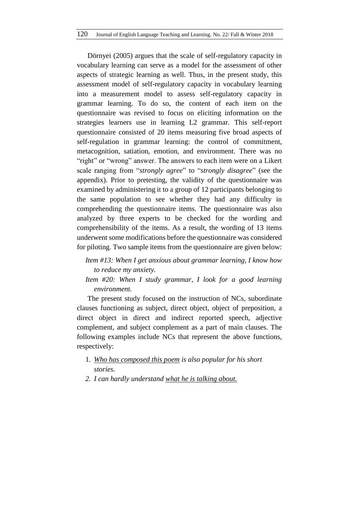Dörnyei (2005) argues that the scale of self-regulatory capacity in vocabulary learning can serve as a model for the assessment of other aspects of strategic learning as well. Thus, in the present study, this assessment model of self-regulatory capacity in vocabulary learning into a measurement model to assess self-regulatory capacity in grammar learning. To do so, the content of each item on the questionnaire was revised to focus on eliciting information on the strategies learners use in learning L2 grammar. This self-report questionnaire consisted of 20 items measuring five broad aspects of self-regulation in grammar learning: the control of commitment, metacognition, satiation, emotion, and environment. There was no "right" or "wrong" answer. The answers to each item were on a Likert scale ranging from "*strongly agree*" to "*strongly disagree*" (see the appendix). Prior to pretesting, the validity of the questionnaire was examined by administering it to a group of 12 participants belonging to the same population to see whether they had any difficulty in comprehending the questionnaire items. The questionnaire was also analyzed by three experts to be checked for the wording and comprehensibility of the items. As a result, the wording of 13 items underwent some modifications before the questionnaire was considered for piloting. Two sample items from the questionnaire are given below:

# *Item #13: When I get anxious about grammar learning, I know how to reduce my anxiety.*

*Item #20: When I study grammar, I look for a good learning environment.*

The present study focused on the instruction of NCs, subordinate clauses functioning as subject, direct object, object of preposition, a direct object in direct and indirect reported speech, adjective complement, and subject complement as a part of main clauses. The following examples include NCs that represent the above functions, respectively:

- 1. *Who has composed this poem is also popular for his short stories.*
- *2. I can hardly understand what he is talking about.*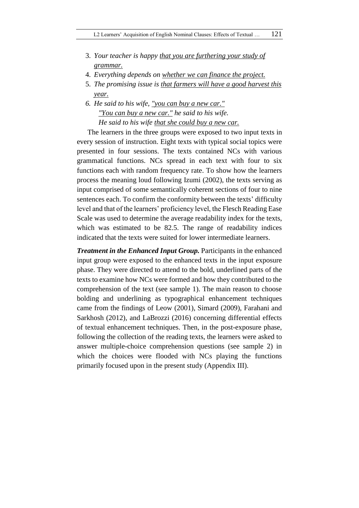- 3. *Your teacher is happy that you are furthering your study of grammar.*
- 4. *Everything depends on whether we can finance the project.*
- 5. *The promising issue is that farmers will have a good harvest this year.*
- *6. He said to his wife, "you can buy a new car." "You can buy a new car." he said to his wife. He said to his wife that she could buy a new car.*

The learners in the three groups were exposed to two input texts in every session of instruction. Eight texts with typical social topics were presented in four sessions. The texts contained NCs with various grammatical functions. NCs spread in each text with four to six functions each with random frequency rate. To show how the learners process the meaning loud following Izumi (2002), the texts serving as input comprised of some semantically coherent sections of four to nine sentences each. To confirm the conformity between the texts' difficulty level and that of the learners' proficiency level, the Flesch Reading Ease Scale was used to determine the average readability index for the texts, which was estimated to be 82.5. The range of readability indices indicated that the texts were suited for lower intermediate learners.

*Treatment in the Enhanced Input Group.* Participants in the enhanced input group were exposed to the enhanced texts in the input exposure phase. They were directed to attend to the bold, underlined parts of the texts to examine how NCs were formed and how they contributed to the comprehension of the text (see sample 1). The main reason to choose bolding and underlining as typographical enhancement techniques came from the findings of Leow (2001), Simard (2009), Farahani and Sarkhosh (2012), and LaBrozzi (2016) concerning differential effects of textual enhancement techniques. Then, in the post-exposure phase, following the collection of the reading texts, the learners were asked to answer multiple-choice comprehension questions (see sample 2) in which the choices were flooded with NCs playing the functions primarily focused upon in the present study (Appendix III).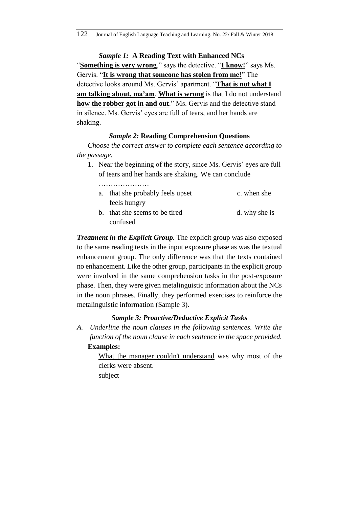*Sample 1:* **A Reading Text with Enhanced NCs** "**Something is very wrong**," says the detective. "**I know!**" says Ms. Gervis. "**It is wrong that someone has stolen from me!**" The detective looks around Ms. Gervis' apartment. "**That is not what I am talking about, ma'am**. **What is wrong** is that I do not understand **how the robber got in and out**." Ms. Gervis and the detective stand in silence. Ms. Gervis' eyes are full of tears, and her hands are shaking.

### *Sample 2:* **Reading Comprehension Questions**

*Choose the correct answer to complete each sentence according to the passage.*

1. Near the beginning of the story, since Ms. Gervis' eyes are full of tears and her hands are shaking. We can conclude

……………………

- a. that she probably feels upset c. when she feels hungry b. that she seems to be tired d. why she is
	- confused

*Treatment in the Explicit Group.* The explicit group was also exposed to the same reading texts in the input exposure phase as was the textual enhancement group. The only difference was that the texts contained no enhancement. Like the other group, participants in the explicit group were involved in the same comprehension tasks in the post-exposure phase. Then, they were given metalinguistic information about the NCs in the noun phrases. Finally, they performed exercises to reinforce the metalinguistic information (Sample 3).

### *Sample 3: Proactive/Deductive Explicit Tasks*

*A. Underline the noun clauses in the following sentences. Write the function of the noun clause in each sentence in the space provided.* **Examples:** 

> What the manager couldn't understand was why most of the clerks were absent. subject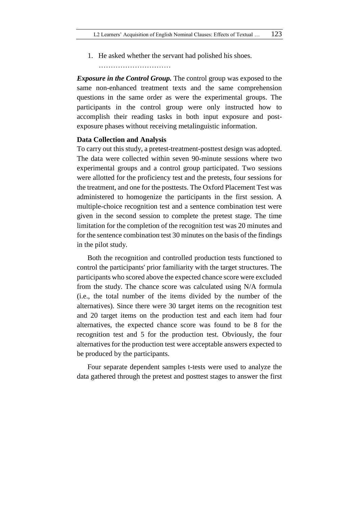1. He asked whether the servant had polished his shoes.

…………………………

*Exposure in the Control Group.* The control group was exposed to the same non-enhanced treatment texts and the same comprehension questions in the same order as were the experimental groups. The participants in the control group were only instructed how to accomplish their reading tasks in both input exposure and postexposure phases without receiving metalinguistic information.

### **Data Collection and Analysis**

To carry out this study, a pretest-treatment-posttest design was adopted. The data were collected within seven 90-minute sessions where two experimental groups and a control group participated. Two sessions were allotted for the proficiency test and the pretests, four sessions for the treatment, and one for the posttests. The Oxford Placement Test was administered to homogenize the participants in the first session. A multiple-choice recognition test and a sentence combination test were given in the second session to complete the pretest stage. The time limitation for the completion of the recognition test was 20 minutes and for the sentence combination test 30 minutes on the basis of the findings in the pilot study.

Both the recognition and controlled production tests functioned to control the participants' prior familiarity with the target structures. The participants who scored above the expected chance score were excluded from the study. The chance score was calculated using N/A formula (i.e., the total number of the items divided by the number of the alternatives). Since there were 30 target items on the recognition test and 20 target items on the production test and each item had four alternatives, the expected chance score was found to be 8 for the recognition test and 5 for the production test. Obviously, the four alternatives for the production test were acceptable answers expected to be produced by the participants.

Four separate dependent samples t-tests were used to analyze the data gathered through the pretest and posttest stages to answer the first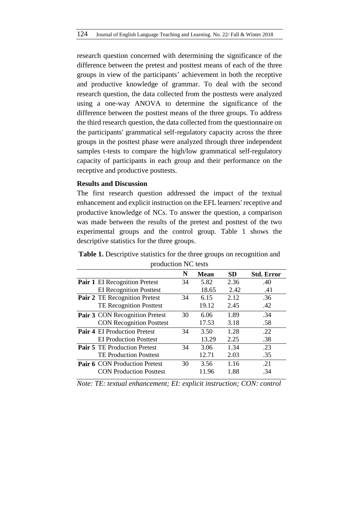research question concerned with determining the significance of the difference between the pretest and posttest means of each of the three groups in view of the participants' achievement in both the receptive and productive knowledge of grammar. To deal with the second research question, the data collected from the posttests were analyzed using a one-way ANOVA to determine the significance of the difference between the posttest means of the three groups. To address the third research question, the data collected from the questionnaire on the participants' grammatical self-regulatory capacity across the three groups in the posttest phase were analyzed through three independent samples t-tests to compare the high/low grammatical self-regulatory capacity of participants in each group and their performance on the receptive and productive posttests.

### **Results and Discussion**

The first research question addressed the impact of the textual enhancement and explicit instruction on the EFL learners' receptive and productive knowledge of NCs. To answer the question, a comparison was made between the results of the pretest and posttest of the two experimental groups and the control group. Table 1 shows the descriptive statistics for the three groups.

**Table 1.** Descriptive statistics for the three groups on recognition and production NC tests

| $P10$ and $P111110$ |                                     |    |             |           |                   |  |  |
|---------------------|-------------------------------------|----|-------------|-----------|-------------------|--|--|
|                     |                                     | N  | <b>Mean</b> | <b>SD</b> | <b>Std. Error</b> |  |  |
|                     | Pair 1 EI Recognition Pretest       | 34 | 5.82        | 2.36      | .40               |  |  |
|                     | <b>EI</b> Recognition Posttest      |    | 18.65       | 2.42      | .41               |  |  |
|                     | Pair 2 TE Recognition Pretest       | 34 | 6.15        | 2.12      | .36               |  |  |
|                     | <b>TE Recognition Posttest</b>      |    | 19.12       | 2.45      | .42               |  |  |
|                     | Pair 3 CON Recognition Pretest      | 30 | 6.06        | 1.89      | .34               |  |  |
|                     | <b>CON Recognition Posttest</b>     |    | 17.53       | 3.18      | .58               |  |  |
|                     | <b>Pair 4 EI Production Pretest</b> | 34 | 3.50        | 1.28      | .22               |  |  |
|                     | <b>EI</b> Production Posttest       |    | 13.29       | 2.25      | .38               |  |  |
|                     | <b>Pair 5</b> TE Production Pretest | 34 | 3.06        | 1.34      | .23               |  |  |
|                     | <b>TE Production Posttest</b>       |    | 12.71       | 2.03      | .35               |  |  |
|                     | Pair 6 CON Production Pretest       | 30 | 3.56        | 1.16      | .21               |  |  |
|                     | <b>CON Production Posttest</b>      |    | 11.96       | 1.88      | .34               |  |  |
|                     |                                     |    |             |           |                   |  |  |

*Note: TE: textual enhancement; EI: explicit instruction; CON: control*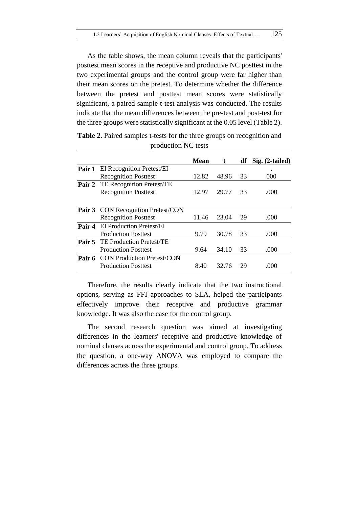As the table shows, the mean column reveals that the participants' posttest mean scores in the receptive and productive NC posttest in the two experimental groups and the control group were far higher than their mean scores on the pretest. To determine whether the difference between the pretest and posttest mean scores were statistically significant, a paired sample t-test analysis was conducted. The results indicate that the mean differences between the pre-test and post-test for the three groups were statistically significant at the 0.05 level (Table 2).

|        |                                          | <b>Mean</b> | t     | df | $Sig. (2-tailed)$ |
|--------|------------------------------------------|-------------|-------|----|-------------------|
|        | Pair 1 EI Recognition Pretest/EI         |             |       |    |                   |
|        | <b>Recognition Posttest</b>              | 12.82       | 48.96 | 33 | 000               |
|        | Pair 2 TE Recognition Pretest/TE         |             |       |    |                   |
|        | <b>Recognition Posttest</b>              | 12.97       | 29.77 | 33 | .000              |
|        |                                          |             |       |    |                   |
|        | Pair 3 CON Recognition Pretest/CON       |             |       |    |                   |
|        | <b>Recognition Posttest</b>              | 11.46       | 23.04 | 29 | .000              |
| Pair 4 | <b>EI Production Pretest/EI</b>          |             |       |    |                   |
|        | <b>Production Posttest</b>               | 9.79        | 30.78 | 33 | .000              |
|        | <b>Pair 5</b> TE Production Pretest/TE   |             |       |    |                   |
|        | <b>Production Posttest</b>               | 9.64        | 34.10 | 33 | .000              |
|        | <b>Pair 6</b> CON Production Pretest/CON |             |       |    |                   |
|        | <b>Production Posttest</b>               | 8.40        | 32.76 | 29 | (100)             |

**Table 2.** Paired samples t-tests for the three groups on recognition and production NC tests

Therefore, the results clearly indicate that the two instructional options, serving as FFI approaches to SLA, helped the participants effectively improve their receptive and productive grammar knowledge. It was also the case for the control group.

The second research question was aimed at investigating differences in the learners' receptive and productive knowledge of nominal clauses across the experimental and control group. To address the question, a one-way ANOVA was employed to compare the differences across the three groups.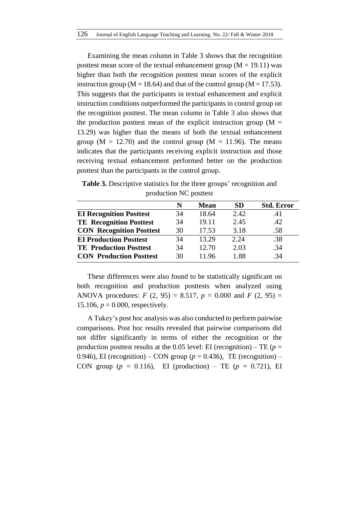Examining the mean column in Table 3 shows that the recognition posttest mean score of the textual enhancement group ( $M = 19.11$ ) was higher than both the recognition posttest mean scores of the explicit instruction group ( $M = 18.64$ ) and that of the control group ( $M = 17.53$ ). This suggests that the participants in textual enhancement and explicit instruction conditions outperformed the participants in control group on the recognition posttest. The mean column in Table 3 also shows that the production posttest mean of the explicit instruction group ( $M =$ 13.29) was higher than the means of both the textual enhancement group ( $M = 12.70$ ) and the control group ( $M = 11.96$ ). The means indicates that the participants receiving explicit instruction and those receiving textual enhancement performed better on the production posttest than the participants in the control group.

**Table 3.** Descriptive statistics for the three groups' recognition and production NC posttest

|                                 | N  | Mean  | <b>SD</b> | <b>Std. Error</b> |
|---------------------------------|----|-------|-----------|-------------------|
| <b>EI Recognition Posttest</b>  | 34 | 18.64 | 2.42      | .41               |
| <b>TE Recognition Posttest</b>  | 34 | 19.11 | 2.45      | .42               |
| <b>CON Recognition Posttest</b> | 30 | 17.53 | 3.18      | .58               |
| <b>EI Production Posttest</b>   | 34 | 13.29 | 2.24      | .38               |
| <b>TE</b> Production Posttest   | 34 | 12.70 | 2.03      | .34               |
| <b>CON Production Posttest</b>  | 30 | 1196  | 1.88      | -34               |

These differences were also found to be statistically significant on both recognition and production posttests when analyzed using ANOVA procedures:  $F(2, 95) = 8.517$ ,  $p = 0.000$  and  $F(2, 95) =$ 15.106,  $p = 0.000$ , respectively.

A Tukey's post hoc analysis was also conducted to perform pairwise comparisons. Post hoc results revealed that pairwise comparisons did not differ significantly in terms of either the recognition or the production posttest results at the 0.05 level: EI (recognition) – TE ( $p =$ 0.946), EI (recognition) – CON group ( $p = 0.436$ ), TE (recognition) – CON group ( $p = 0.116$ ), EI (production) – TE ( $p = 0.721$ ), EI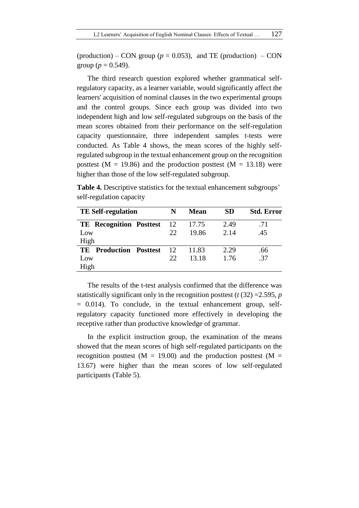(production) – CON group ( $p = 0.053$ ), and TE (production) – CON group ( $p = 0.549$ ).

The third research question explored whether grammatical selfregulatory capacity, as a learner variable, would significantly affect the learners' acquisition of nominal clauses in the two experimental groups and the control groups. Since each group was divided into two independent high and low self-regulated subgroups on the basis of the mean scores obtained from their performance on the self-regulation capacity questionnaire, three independent samples t-tests were conducted. As Table 4 shows, the mean scores of the highly selfregulated subgroup in the textual enhancement group on the recognition posttest ( $M = 19.86$ ) and the production posttest ( $M = 13.18$ ) were higher than those of the low self-regulated subgroup.

**Table 4.** Descriptive statistics for the textual enhancement subgroups' self-regulation capacity

| <b>TE Self-regulation</b>         | N    | Mean  | <b>SD</b> | <b>Std. Error</b> |
|-----------------------------------|------|-------|-----------|-------------------|
| <b>TE</b> Recognition Posttest    | - 12 | 17.75 | 2.49      | .71               |
| Low                               | 22.  | 19.86 | 2.14      | .45               |
| High                              |      |       |           |                   |
| <b>Production Posttest</b><br>TE. | 12   | 11.83 | 2.29      | .66               |
| Low                               | 22.  | 13.18 | 1.76      | .37               |
| High                              |      |       |           |                   |

The results of the t-test analysis confirmed that the difference was statistically significant only in the recognition posttest (*t* (32) =2.595, *p*  $= 0.014$ ). To conclude, in the textual enhancement group, selfregulatory capacity functioned more effectively in developing the receptive rather than productive knowledge of grammar.

In the explicit instruction group, the examination of the means showed that the mean scores of high self-regulated participants on the recognition posttest ( $M = 19.00$ ) and the production posttest ( $M =$ 13.67) were higher than the mean scores of low self-regulated participants (Table 5).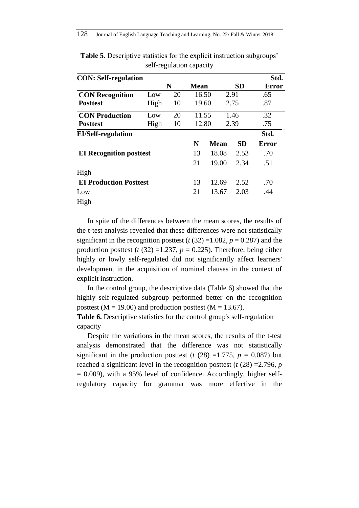| <b>CON: Self-regulation</b>    |      |    |       |             |           | Std.         |
|--------------------------------|------|----|-------|-------------|-----------|--------------|
|                                |      | N  | Mean  |             | <b>SD</b> | <b>Error</b> |
| <b>CON Recognition</b>         | Low  | 20 | 16.50 |             | 2.91      | .65          |
| <b>Posttest</b>                | High | 10 | 19.60 |             | 2.75      | .87          |
| <b>CON Production</b>          | Low  | 20 | 11.55 |             | 1.46      | .32          |
| <b>Posttest</b>                | High | 10 | 12.80 |             | 2.39      | .75          |
| <b>EI/Self-regulation</b>      |      |    |       |             |           | Std.         |
|                                |      |    | N     | <b>Mean</b> | <b>SD</b> | Error        |
| <b>EI Recognition posttest</b> |      |    | 13    | 18.08       | 2.53      | .70          |
|                                |      |    | 21    | 19.00       | 2.34      | .51          |
| High                           |      |    |       |             |           |              |
| <b>EI Production Posttest</b>  |      |    | 13    | 12.69       | 2.52      | .70          |
| Low                            |      |    | 21    | 13.67       | 2.03      | .44          |
| High                           |      |    |       |             |           |              |

**Table 5.** Descriptive statistics for the explicit instruction subgroups' self-regulation capacity

In spite of the differences between the mean scores, the results of the t-test analysis revealed that these differences were not statistically significant in the recognition posttest  $(t (32) = 1.082, p = 0.287)$  and the production posttest ( $t$  (32) =1.237,  $p = 0.225$ ). Therefore, being either highly or lowly self-regulated did not significantly affect learners' development in the acquisition of nominal clauses in the context of explicit instruction.

In the control group, the descriptive data (Table 6) showed that the highly self-regulated subgroup performed better on the recognition posttest ( $M = 19.00$ ) and production posttest ( $M = 13.67$ ).

**Table 6.** Descriptive statistics for the control group's self-regulation capacity

Despite the variations in the mean scores, the results of the t-test analysis demonstrated that the difference was not statistically significant in the production posttest ( $t$  (28) =1.775,  $p = 0.087$ ) but reached a significant level in the recognition posttest (*t* (28) =2.796, *p*  $= 0.009$ ), with a 95% level of confidence. Accordingly, higher selfregulatory capacity for grammar was more effective in the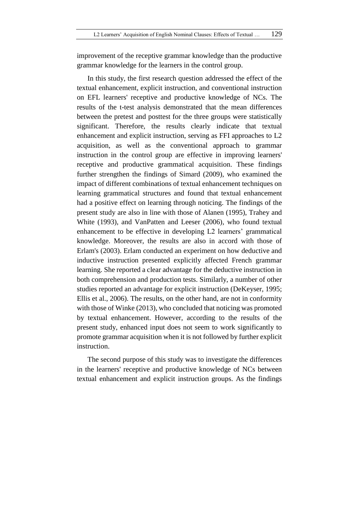improvement of the receptive grammar knowledge than the productive grammar knowledge for the learners in the control group.

In this study, the first research question addressed the effect of the textual enhancement, explicit instruction, and conventional instruction on EFL learners' receptive and productive knowledge of NCs. The results of the t-test analysis demonstrated that the mean differences between the pretest and posttest for the three groups were statistically significant. Therefore, the results clearly indicate that textual enhancement and explicit instruction, serving as FFI approaches to L2 acquisition, as well as the conventional approach to grammar instruction in the control group are effective in improving learners' receptive and productive grammatical acquisition. These findings further strengthen the findings of Simard (2009), who examined the impact of different combinations of textual enhancement techniques on learning grammatical structures and found that textual enhancement had a positive effect on learning through noticing. The findings of the present study are also in line with those of Alanen (1995), Trahey and White (1993), and VanPatten and Leeser (2006), who found textual enhancement to be effective in developing L2 learners' grammatical knowledge. Moreover, the results are also in accord with those of Erlam's (2003). Erlam conducted an experiment on how deductive and inductive instruction presented explicitly affected French grammar learning. She reported a clear advantage for the deductive instruction in both comprehension and production tests. Similarly, a number of other studies reported an advantage for explicit instruction (DeKeyser, 1995; Ellis et al., 2006). The results, on the other hand, are not in conformity with those of Winke (2013), who concluded that noticing was promoted by textual enhancement. However, according to the results of the present study, enhanced input does not seem to work significantly to promote grammar acquisition when it is not followed by further explicit instruction.

The second purpose of this study was to investigate the differences in the learners' receptive and productive knowledge of NCs between textual enhancement and explicit instruction groups. As the findings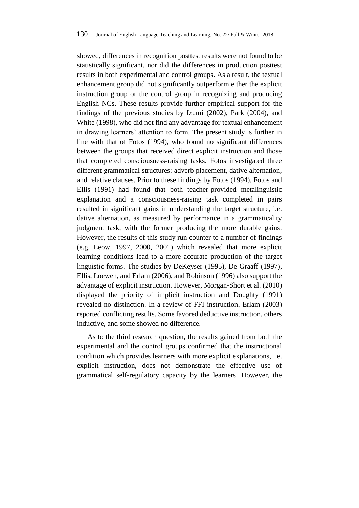showed, differences in recognition posttest results were not found to be statistically significant, nor did the differences in production posttest results in both experimental and control groups. As a result, the textual enhancement group did not significantly outperform either the explicit instruction group or the control group in recognizing and producing English NCs. These results provide further empirical support for the findings of the previous studies by Izumi (2002), Park (2004), and White (1998), who did not find any advantage for textual enhancement in drawing learners' attention to form. The present study is further in line with that of Fotos (1994), who found no significant differences between the groups that received direct explicit instruction and those that completed consciousness-raising tasks. Fotos investigated three different grammatical structures: adverb placement, dative alternation, and relative clauses. Prior to these findings by Fotos (1994), Fotos and Ellis (1991) had found that both teacher-provided metalinguistic explanation and a consciousness-raising task completed in pairs resulted in significant gains in understanding the target structure, i.e. dative alternation, as measured by performance in a grammaticality judgment task, with the former producing the more durable gains. However, the results of this study run counter to a number of findings (e.g. Leow, 1997, 2000, 2001) which revealed that more explicit learning conditions lead to a more accurate production of the target linguistic forms. The studies by DeKeyser (1995), De Graaff (1997), Ellis, Loewen, and Erlam (2006), and Robinson (1996) also support the advantage of explicit instruction. However, Morgan-Short et al. (2010) displayed the priority of implicit instruction and Doughty (1991) revealed no distinction. In a review of FFI instruction, Erlam (2003) reported conflicting results. Some favored deductive instruction, others inductive, and some showed no difference.

As to the third research question, the results gained from both the experimental and the control groups confirmed that the instructional condition which provides learners with more explicit explanations, i.e. explicit instruction, does not demonstrate the effective use of grammatical self-regulatory capacity by the learners. However, the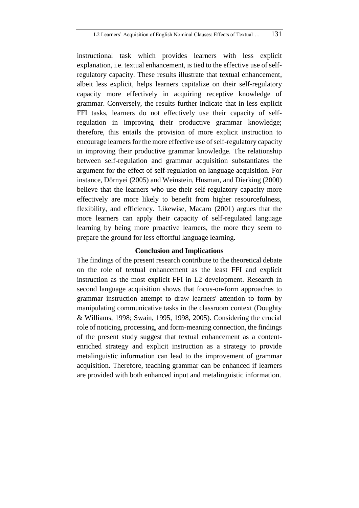instructional task which provides learners with less explicit explanation, i.e. textual enhancement, is tied to the effective use of selfregulatory capacity. These results illustrate that textual enhancement, albeit less explicit, helps learners capitalize on their self-regulatory capacity more effectively in acquiring receptive knowledge of grammar. Conversely, the results further indicate that in less explicit FFI tasks, learners do not effectively use their capacity of selfregulation in improving their productive grammar knowledge; therefore, this entails the provision of more explicit instruction to encourage learners for the more effective use of self-regulatory capacity in improving their productive grammar knowledge. The relationship between self-regulation and grammar acquisition substantiates the argument for the effect of self-regulation on language acquisition. For instance, Dörnyei (2005) and Weinstein, Husman, and Dierking (2000) believe that the learners who use their self-regulatory capacity more effectively are more likely to benefit from higher resourcefulness, flexibility, and efficiency. Likewise, Macaro (2001) argues that the more learners can apply their capacity of self-regulated language learning by being more proactive learners, the more they seem to prepare the ground for less effortful language learning.

#### **Conclusion and Implications**

The findings of the present research contribute to the theoretical debate on the role of textual enhancement as the least FFI and explicit instruction as the most explicit FFI in L2 development. Research in second language acquisition shows that focus-on-form approaches to grammar instruction attempt to draw learners' attention to form by manipulating communicative tasks in the classroom context (Doughty & Williams, 1998; Swain, 1995, 1998, 2005). Considering the crucial role of noticing, processing, and form-meaning connection, the findings of the present study suggest that textual enhancement as a contentenriched strategy and explicit instruction as a strategy to provide metalinguistic information can lead to the improvement of grammar acquisition. Therefore, teaching grammar can be enhanced if learners are provided with both enhanced input and metalinguistic information.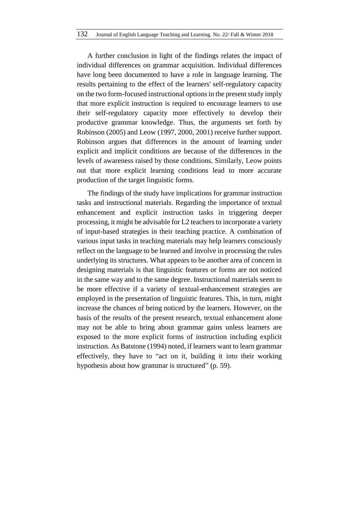A further conclusion in light of the findings relates the impact of individual differences on grammar acquisition. Individual differences have long been documented to have a role in language learning. The results pertaining to the effect of the learners' self-regulatory capacity on the two form-focused instructional options in the present study imply that more explicit instruction is required to encourage learners to use their self-regulatory capacity more effectively to develop their productive grammar knowledge. Thus, the arguments set forth by Robinson (2005) and Leow (1997, 2000, 2001) receive further support. Robinson argues that differences in the amount of learning under explicit and implicit conditions are because of the differences in the levels of awareness raised by those conditions. Similarly, Leow points out that more explicit learning conditions lead to more accurate production of the target linguistic forms.

The findings of the study have implications for grammar instruction tasks and instructional materials. Regarding the importance of textual enhancement and explicit instruction tasks in triggering deeper processing, it might be advisable for L2 teachers to incorporate a variety of input-based strategies in their teaching practice. A combination of various input tasks in teaching materials may help learners consciously reflect on the language to be learned and involve in processing the rules underlying its structures. What appears to be another area of concern in designing materials is that linguistic features or forms are not noticed in the same way and to the same degree. Instructional materials seem to be more effective if a variety of textual-enhancement strategies are employed in the presentation of linguistic features. This, in turn, might increase the chances of being noticed by the learners. However, on the basis of the results of the present research, textual enhancement alone may not be able to bring about grammar gains unless learners are exposed to the more explicit forms of instruction including explicit instruction. As Batstone (1994) noted, if learners want to learn grammar effectively, they have to "act on it, building it into their working hypothesis about how grammar is structured" (p. 59).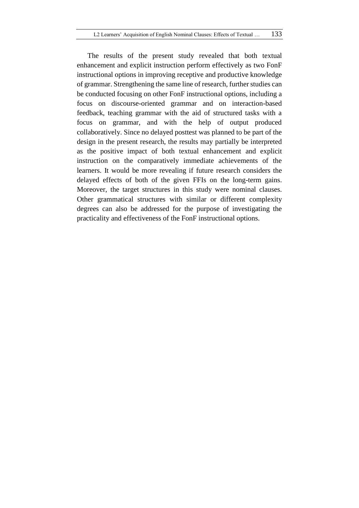The results of the present study revealed that both textual enhancement and explicit instruction perform effectively as two FonF instructional options in improving receptive and productive knowledge of grammar. Strengthening the same line of research, further studies can be conducted focusing on other FonF instructional options, including a focus on discourse-oriented grammar and on interaction-based feedback, teaching grammar with the aid of structured tasks with a focus on grammar, and with the help of output produced collaboratively. Since no delayed posttest was planned to be part of the design in the present research, the results may partially be interpreted as the positive impact of both textual enhancement and explicit instruction on the comparatively immediate achievements of the learners. It would be more revealing if future research considers the delayed effects of both of the given FFIs on the long-term gains. Moreover, the target structures in this study were nominal clauses. Other grammatical structures with similar or different complexity degrees can also be addressed for the purpose of investigating the practicality and effectiveness of the FonF instructional options.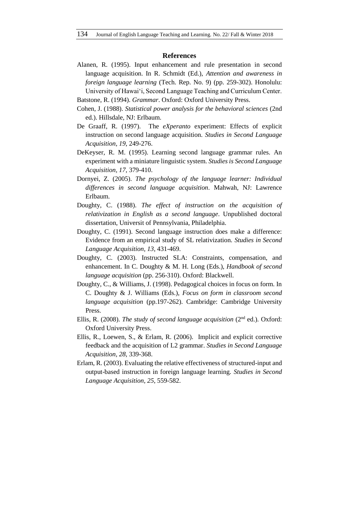#### **References**

- Alanen, R. (1995). Input enhancement and rule presentation in second language acquisition. In R. Schmidt (Ed.), *Attention and awareness in foreign language learning* (Tech. Rep. No. 9) (pp. 259-302). Honolulu: University of Hawai'i, Second Language Teaching and Curriculum Center.
- Batstone, R. (1994). *Grammar*. Oxford: Oxford University Press.
- Cohen, J. (1988). *Statistical power analysis for the behavioral sciences* (2nd ed.). Hillsdale, NJ: Erlbaum.
- De Graaff, R. (1997). The *eXperanto* experiment: Effects of explicit instruction on second language acquisition. *Studies in Second Language Acquisition*, *19*, 249-276.
- DeKeyser, R. M. (1995). Learning second language grammar rules. An experiment with a miniature linguistic system. *Studies is Second Language Acquisition, 17*, 379-410.
- Dornyei, Z. (2005). *The psychology of the language learner: Individual differences in second language acquisition*. Mahwah, NJ: Lawrence Erlbaum.
- Doughty, C. (1988). *The effect of instruction on the acquisition of relativization in English as a second language*. Unpublished doctoral dissertation, Universit of Pennsylvania, Philadelphia.
- Doughty, C. (1991). Second language instruction does make a difference: Evidence from an empirical study of SL relativization. *Studies in Second Language Acquisition, 13*, 431-469.
- Doughty, C. (2003). Instructed SLA: Constraints, compensation, and enhancement. In C. Doughty & M. H. Long (Eds.), *Handbook of second language acquisition* (pp. 256-310). Oxford: Blackwell.
- Doughty, C., & Williams, J. (1998). Pedagogical choices in focus on form. In C. Doughty & J. Williams (Eds.), *Focus on form in classroom second language acquisition* (pp.197-262). Cambridge: Cambridge University Press.
- Ellis, R. (2008). *The study of second language acquisition* (2<sup>nd</sup> ed.). Oxford: Oxford University Press.
- Ellis, R., Loewen, S., & Erlam, R. (2006). Implicit and explicit corrective feedback and the acquisition of L2 grammar. *Studies in Second Language Acquisition*, *28*, 339-368.
- Erlam, R. (2003). Evaluating the relative effectiveness of structured-input and output-based instruction in foreign language learning. *Studies in Second Language Acquisition, 25*, 559-582.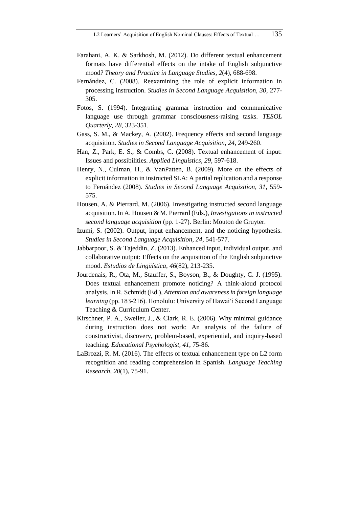- Farahani, A. K. & Sarkhosh, M. (2012). Do different textual enhancement formats have differential effects on the intake of English subjunctive mood? *Theory and Practice in Language Studies, 2*(4), 688-698.
- Fernández, C. (2008). Reexamining the role of explicit information in processing instruction. *Studies in Second Language Acquisition, 30*, 277- 305.
- Fotos, S. (1994). Integrating grammar instruction and communicative language use through grammar consciousness-raising tasks. *TESOL Quarterly, 28*, 323-351.
- Gass, S. M., & Mackey, A. (2002). Frequency effects and second language acquisition. *Studies in Second Language Acquisition, 24*, 249-260.
- Han, Z., Park, E. S., & Combs, C. (2008). Textual enhancement of input: Issues and possibilities. *Applied Linguistics, 29*, 597-618.
- Henry, N., Culman, H., & VanPatten, B. (2009). More on the effects of explicit information in instructed SLA: A partial replication and a response to Fernández (2008). *Studies in Second Language Acquisition, 31*, 559- 575.
- Housen, A. & Pierrard, M. (2006). Investigating instructed second language acquisition. In A. Housen & M. Pierrard (Eds.), *Investigations in instructed second language acquisition* (pp. 1-27). Berlin: Mouton de Gruyter.
- Izumi, S. (2002). Output, input enhancement, and the noticing hypothesis. *Studies in Second Language Acquisition, 24*, 541-577.
- Jabbarpoor, S. & Tajeddin, Z. (2013). Enhanced input, individual output, and collaborative output: Effects on the acquisition of the English subjunctive mood. *Estudios de Lingüística*, *46*(82), 213-235.
- Jourdenais, R., Ota, M., Stauffer, S., Boyson, B., & Doughty, C. J. (1995). Does textual enhancement promote noticing? A think-aloud protocol analysis. In R. Schmidt (Ed.), *Attention and awareness in foreign language learning* (pp. 183-216). Honolulu: University of Hawai'i Second Language Teaching & Curriculum Center.
- Kirschner, P. A., Sweller, J., & Clark, R. E. (2006). Why minimal guidance during instruction does not work: An analysis of the failure of constructivist, discovery, problem-based, experiential, and inquiry-based teaching. *Educational Psychologist, 41*, 75-86.
- LaBrozzi, R. M. (2016). The effects of textual enhancement type on L2 form recognition and reading comprehension in Spanish. *Language Teaching Research, 20*(1), 75-91.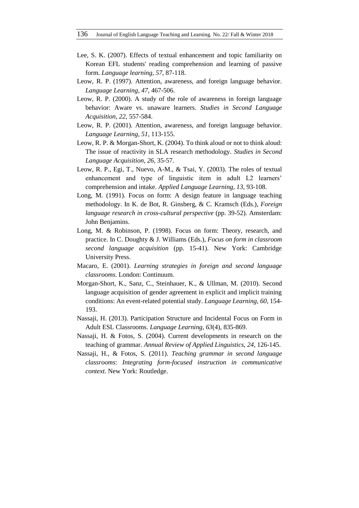- Lee, S. K. (2007). Effects of textual enhancement and topic familiarity on Korean EFL students' reading comprehension and learning of passive form. *Language learning, 57*, 87-118.
- Leow, R. P. (1997). Attention, awareness, and foreign language behavior. *Language Learning*, *47*, 467-506.
- Leow, R. P. (2000). A study of the role of awareness in foreign language behavior: Aware vs. unaware learners. *Studies in Second Language Acquisition*, *22*, 557-584.
- Leow, R. P. (2001). Attention, awareness, and foreign language behavior. *Language Learning*, *51*, 113-155.
- Leow, R. P. & Morgan-Short, K. (2004). To think aloud or not to think aloud: The issue of reactivity in SLA research methodology. *Studies in Second Language Acquisition, 26*, 35-57.
- Leow, R. P., Egi, T., Nuevo, A-M., & Tsai, Y. (2003). The roles of textual enhancement and type of linguistic item in adult L2 learners' comprehension and intake. *Applied Language Learning, 13*, 93-108.
- Long, M. (1991). Focus on form: A design feature in language teaching methodology. In K. de Bot, R. Ginsberg, & C. Kramsch (Eds.), *Foreign language research in cross-cultural perspective* (pp. 39-52). Amsterdam: John Benjamins.
- Long, M. & Robinson, P. (1998). Focus on form: Theory, research, and practice. In C. Doughty & J. Williams (Eds.), *Focus on form in classroom second language acquisition* (pp. 15-41). New York: Cambridge University Press.
- Macaro, E. (2001). *Learning strategies in foreign and second language classrooms*. London: Continuum.
- Morgan-Short, K., Sanz, C., Steinhauer, K., & Ullman, M. (2010). Second language acquisition of gender agreement in explicit and implicit training conditions: An event-related potential study. *Language Learning*, *60*, 154- 193.
- Nassaji, H. (2013). Participation Structure and Incidental Focus on Form in Adult ESL Classrooms. *Language Learning, 63*(4), 835-869.
- Nassaji, H. & Fotos, S. (2004). Current developments in research on the teaching of grammar. *Annual Review of Applied Linguistics, 24*, 126-145.
- Nassaji, H., & Fotos, S. (2011). *Teaching grammar in second language classrooms*: *Integrating form-focused instruction in communicative context.* New York: Routledge.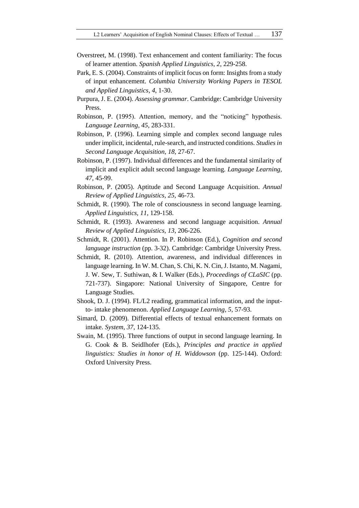- Overstreet, M. (1998). Text enhancement and content familiarity: The focus of learner attention. *Spanish Applied Linguistics*, *2*, 229-258.
- Park, E. S. (2004). Constraints of implicit focus on form: Insights from a study of input enhancement. *Columbia University Working Papers in TESOL and Applied Linguistics, 4*, 1-30.
- Purpura, J. E. (2004). *Assessing grammar*. Cambridge: Cambridge University Press.
- Robinson, P. (1995). Attention, memory, and the "noticing" hypothesis. *Language Learning*, *45*, 283-331.
- Robinson, P. (1996). Learning simple and complex second language rules under implicit, incidental, rule-search, and instructed conditions. *Studies in Second Language Acquisition*, *18*, 27-67.
- Robinson, P. (1997). Individual differences and the fundamental similarity of implicit and explicit adult second language learning. *Language Learning, 47*, 45-99.
- Robinson, P. (2005). Aptitude and Second Language Acquisition. *Annual Review of Applied Linguistics, 25,* 46-73.
- Schmidt, R. (1990). The role of consciousness in second language learning. *Applied Linguistics, 11*, 129-158.
- Schmidt, R. (1993). Awareness and second language acquisition. *Annual Review of Applied Linguistics, 13*, 206-226.
- Schmidt, R. (2001). Attention. In P. Robinson (Ed.), *Cognition and second language instruction* (pp. 3-32). Cambridge: Cambridge University Press.
- Schmidt, R. (2010). Attention, awareness, and individual differences in language learning. In W. M. Chan, S. Chi, K. N. Cin, J. Istanto, M. Nagami, J. W. Sew, T. Suthiwan, & I. Walker (Eds.), *Proceedings of CLaSIC* (pp. 721-737). Singapore: National University of Singapore, Centre for Language Studies.
- Shook, D. J. (1994). FL/L2 reading, grammatical information, and the inputto- intake phenomenon. *Applied Language Learning, 5*, 57-93.
- Simard, D. (2009). Differential effects of textual enhancement formats on intake. *System, 37*, 124-135.
- Swain, M. (1995). Three functions of output in second language learning. In G. Cook & B. Seidlhofer (Eds.), *Principles and practice in applied linguistics: Studies in honor of H. Widdowson* (pp. 125-144). Oxford: Oxford University Press.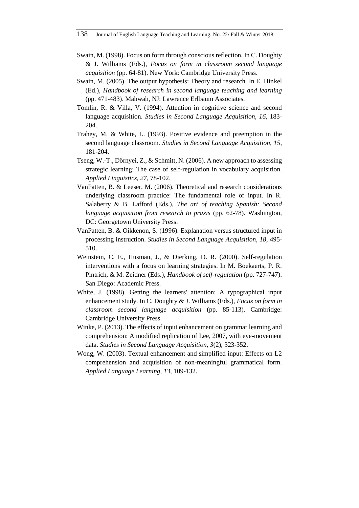- Swain, M. (1998). Focus on form through conscious reflection. In C. Doughty & J. Williams (Eds.), *Focus on form in classroom second language acquisition* (pp. 64-81). New York: Cambridge University Press.
- Swain, M. (2005). The output hypothesis: Theory and research. In E. Hinkel (Ed.), *Handbook of research in second language teaching and learning*  (pp. 471-483). Mahwah, NJ: Lawrence Erlbaum Associates.
- Tomlin, R. & Villa, V. (1994). Attention in cognitive science and second language acquisition. *Studies in Second Language Acquisition, 16*, 183- 204.
- Trahey, M. & White, L. (1993). Positive evidence and preemption in the second language classroom. *Studies in Second Language Acquisition, 15*, 181-204.
- Tseng, W.-T., Dörnyei, Z., & Schmitt, N. (2006). A new approach to assessing strategic learning: The case of self-regulation in vocabulary acquisition. *Applied Linguistics, 27*, 78-102.
- VanPatten, B. & Leeser, M. (2006). Theoretical and research considerations underlying classroom practice: The fundamental role of input. In R. Salaberry & B. Lafford (Eds.), *The art of teaching Spanish: Second language acquisition from research to praxis* (pp. 62-78). Washington, DC: Georgetown University Press.
- VanPatten, B. & Oikkenon, S. (1996). Explanation versus structured input in processing instruction. *Studies in Second Language Acquisition, 18*, 495- 510.
- Weinstein, C. E., Husman, J., & Dierking, D. R. (2000). Self-regulation interventions with a focus on learning strategies. In M. Boekaerts, P. R. Pintrich, & M. Zeidner (Eds.), *Handbook of self-regulation* (pp. 727-747). San Diego: Academic Press.
- White, J. (1998). Getting the learners' attention: A typographical input enhancement study. In C. Doughty & J. Williams (Eds.), *Focus on form in classroom second language acquisition* (pp. 85-113). Cambridge: Cambridge University Press.
- Winke, P. (2013). The effects of input enhancement on grammar learning and comprehension: A modified replication of Lee, 2007, with eye-movement data. *Studies in Second Language Acquisition, 3*(2), 323-352.
- Wong, W. (2003). Textual enhancement and simplified input: Effects on L2 comprehension and acquisition of non-meaningful grammatical form. *Applied Language Learning, 13*, 109-132.